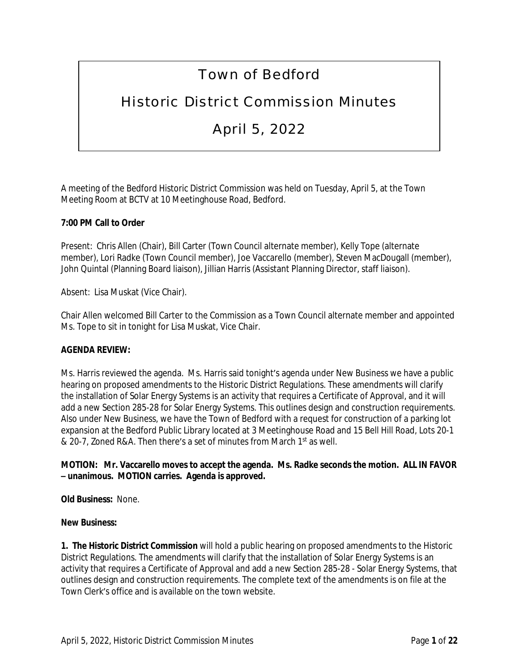# Town of Bedford

## Historic District Commission Minutes

## April 5, 2022

A meeting of the Bedford Historic District Commission was held on Tuesday, April 5, at the Town Meeting Room at BCTV at 10 Meetinghouse Road, Bedford.

### **7:00 PM Call to Order**

Present: Chris Allen (Chair), Bill Carter (Town Council alternate member), Kelly Tope (alternate member), Lori Radke (Town Council member), Joe Vaccarello (member), Steven MacDougall (member), John Quintal (Planning Board liaison), Jillian Harris (Assistant Planning Director, staff liaison).

Absent: Lisa Muskat (Vice Chair).

Chair Allen welcomed Bill Carter to the Commission as a Town Council alternate member and appointed Ms. Tope to sit in tonight for Lisa Muskat, Vice Chair.

#### **AGENDA REVIEW:**

Ms. Harris reviewed the agenda. Ms. Harris said tonight's agenda under New Business we have a public hearing on proposed amendments to the Historic District Regulations. These amendments will clarify the installation of Solar Energy Systems is an activity that requires a Certificate of Approval, and it will add a new Section 285-28 for Solar Energy Systems. This outlines design and construction requirements. Also under New Business, we have the Town of Bedford with a request for construction of a parking lot expansion at the Bedford Public Library located at 3 Meetinghouse Road and 15 Bell Hill Road, Lots 20-1 & 20-7, Zoned R&A. Then there's a set of minutes from March 1st as well.

#### **MOTION: Mr. Vaccarello moves to accept the agenda. Ms. Radke seconds the motion. ALL IN FAVOR – unanimous. MOTION carries. Agenda is approved.**

**Old Business:** None.

#### **New Business:**

**1. The Historic District Commission** will hold a public hearing on proposed amendments to the Historic District Regulations. The amendments will clarify that the installation of Solar Energy Systems is an activity that requires a Certificate of Approval and add a new Section 285-28 - Solar Energy Systems, that outlines design and construction requirements. The complete text of the amendments is on file at the Town Clerk's office and is available on the town website.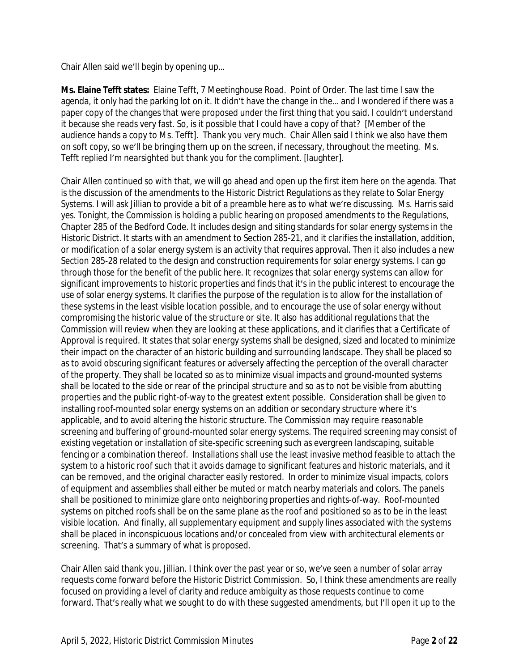Chair Allen said we'll begin by opening up…

**Ms. Elaine Tefft states:** Elaine Tefft, 7 Meetinghouse Road. Point of Order. The last time I saw the agenda, it only had the parking lot on it. It didn't have the change in the… and I wondered if there was a paper copy of the changes that were proposed under the first thing that you said. I couldn't understand it because she reads very fast. So, is it possible that I could have a copy of that? [Member of the audience hands a copy to Ms. Tefft]. Thank you very much. Chair Allen said I think we also have them on soft copy, so we'll be bringing them up on the screen, if necessary, throughout the meeting. Ms. Tefft replied I'm nearsighted but thank you for the compliment. [laughter].

Chair Allen continued so with that, we will go ahead and open up the first item here on the agenda. That is the discussion of the amendments to the Historic District Regulations as they relate to Solar Energy Systems. I will ask Jillian to provide a bit of a preamble here as to what we're discussing. Ms. Harris said yes. Tonight, the Commission is holding a public hearing on proposed amendments to the Regulations, Chapter 285 of the Bedford Code. It includes design and siting standards for solar energy systems in the Historic District. It starts with an amendment to Section 285-21, and it clarifies the installation, addition, or modification of a solar energy system is an activity that requires approval. Then it also includes a new Section 285-28 related to the design and construction requirements for solar energy systems. I can go through those for the benefit of the public here. It recognizes that solar energy systems can allow for significant improvements to historic properties and finds that it's in the public interest to encourage the use of solar energy systems. It clarifies the purpose of the regulation is to allow for the installation of these systems in the least visible location possible, and to encourage the use of solar energy without compromising the historic value of the structure or site. It also has additional regulations that the Commission will review when they are looking at these applications, and it clarifies that a Certificate of Approval is required. It states that solar energy systems shall be designed, sized and located to minimize their impact on the character of an historic building and surrounding landscape. They shall be placed so as to avoid obscuring significant features or adversely affecting the perception of the overall character of the property. They shall be located so as to minimize visual impacts and ground-mounted systems shall be located to the side or rear of the principal structure and so as to not be visible from abutting properties and the public right-of-way to the greatest extent possible. Consideration shall be given to installing roof-mounted solar energy systems on an addition or secondary structure where it's applicable, and to avoid altering the historic structure. The Commission may require reasonable screening and buffering of ground-mounted solar energy systems. The required screening may consist of existing vegetation or installation of site-specific screening such as evergreen landscaping, suitable fencing or a combination thereof. Installations shall use the least invasive method feasible to attach the system to a historic roof such that it avoids damage to significant features and historic materials, and it can be removed, and the original character easily restored. In order to minimize visual impacts, colors of equipment and assemblies shall either be muted or match nearby materials and colors. The panels shall be positioned to minimize glare onto neighboring properties and rights-of-way. Roof-mounted systems on pitched roofs shall be on the same plane as the roof and positioned so as to be in the least visible location. And finally, all supplementary equipment and supply lines associated with the systems shall be placed in inconspicuous locations and/or concealed from view with architectural elements or screening. That's a summary of what is proposed.

Chair Allen said thank you, Jillian. I think over the past year or so, we've seen a number of solar array requests come forward before the Historic District Commission. So, I think these amendments are really focused on providing a level of clarity and reduce ambiguity as those requests continue to come forward. That's really what we sought to do with these suggested amendments, but I'll open it up to the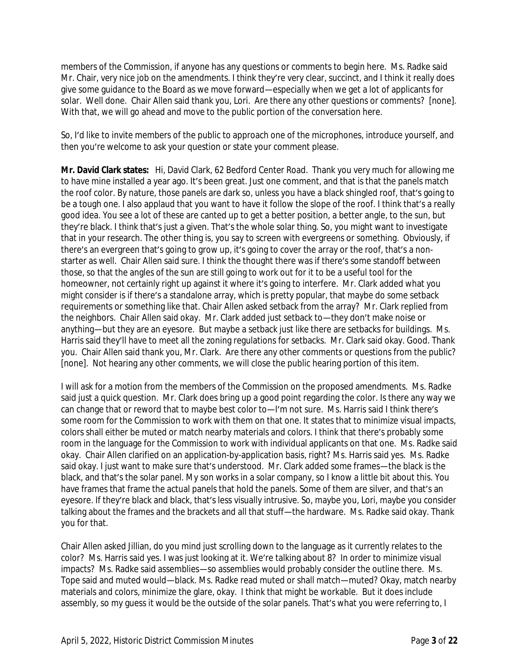members of the Commission, if anyone has any questions or comments to begin here. Ms. Radke said Mr. Chair, very nice job on the amendments. I think they're very clear, succinct, and I think it really does give some guidance to the Board as we move forward—especially when we get a lot of applicants for solar. Well done. Chair Allen said thank you, Lori. Are there any other questions or comments? [none]. With that, we will go ahead and move to the public portion of the conversation here.

So, I'd like to invite members of the public to approach one of the microphones, introduce yourself, and then you're welcome to ask your question or state your comment please.

**Mr. David Clark states:** Hi, David Clark, 62 Bedford Center Road. Thank you very much for allowing me to have mine installed a year ago. It's been great. Just one comment, and that is that the panels match the roof color. By nature, those panels are dark so, unless you have a black shingled roof, that's going to be a tough one. I also applaud that you want to have it follow the slope of the roof. I think that's a really good idea. You see a lot of these are canted up to get a better position, a better angle, to the sun, but they're black. I think that's just a given. That's the whole solar thing. So, you might want to investigate that in your research. The other thing is, you say to screen with evergreens or something. Obviously, if there's an evergreen that's going to grow up, it's going to cover the array or the roof, that's a nonstarter as well. Chair Allen said sure. I think the thought there was if there's some standoff between those, so that the angles of the sun are still going to work out for it to be a useful tool for the homeowner, not certainly right up against it where it's going to interfere. Mr. Clark added what you might consider is if there's a standalone array, which is pretty popular, that maybe do some setback requirements or something like that. Chair Allen asked setback from the array? Mr. Clark replied from the neighbors. Chair Allen said okay. Mr. Clark added just setback to—they don't make noise or anything—but they are an eyesore. But maybe a setback just like there are setbacks for buildings. Ms. Harris said they'll have to meet all the zoning regulations for setbacks. Mr. Clark said okay. Good. Thank you. Chair Allen said thank you, Mr. Clark. Are there any other comments or questions from the public? [none]. Not hearing any other comments, we will close the public hearing portion of this item.

I will ask for a motion from the members of the Commission on the proposed amendments. Ms. Radke said just a quick question. Mr. Clark does bring up a good point regarding the color. Is there any way we can change that or reword that to maybe best color to-I'm not sure. Ms. Harris said I think there's some room for the Commission to work with them on that one. It states that to minimize visual impacts, colors shall either be muted or match nearby materials and colors. I think that there's probably some room in the language for the Commission to work with individual applicants on that one. Ms. Radke said okay. Chair Allen clarified on an application-by-application basis, right? Ms. Harris said yes. Ms. Radke said okay. I just want to make sure that's understood. Mr. Clark added some frames—the black is the black, and that's the solar panel. My son works in a solar company, so I know a little bit about this. You have frames that frame the actual panels that hold the panels. Some of them are silver, and that's an eyesore. If they're black and black, that's less visually intrusive. So, maybe you, Lori, maybe you consider talking about the frames and the brackets and all that stuff—the hardware. Ms. Radke said okay. Thank you for that.

Chair Allen asked Jillian, do you mind just scrolling down to the language as it currently relates to the color? Ms. Harris said yes. I was just looking at it. We're talking about 8? In order to minimize visual impacts? Ms. Radke said assemblies—so assemblies would probably consider the outline there. Ms. Tope said and muted would—black. Ms. Radke read muted or shall match—muted? Okay, match nearby materials and colors, minimize the glare, okay. I think that might be workable. But it does include assembly, so my guess it would be the outside of the solar panels. That's what you were referring to, I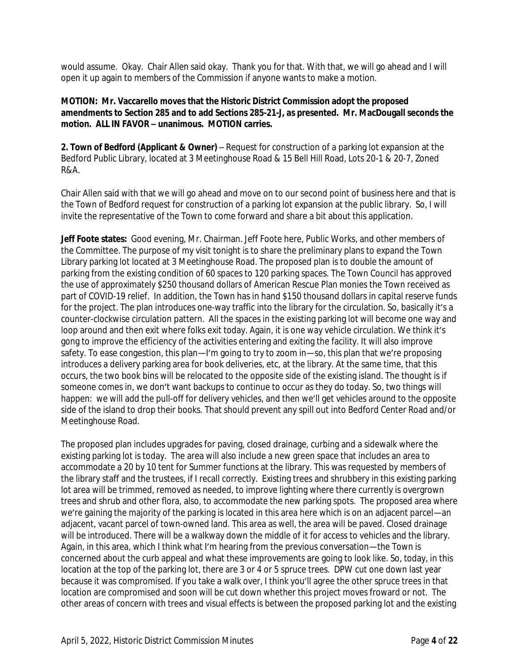would assume. Okay. Chair Allen said okay. Thank you for that. With that, we will go ahead and I will open it up again to members of the Commission if anyone wants to make a motion.

### **MOTION: Mr. Vaccarello moves that the Historic District Commission adopt the proposed amendments to Section 285 and to add Sections 285-21-J, as presented. Mr. MacDougall seconds the motion. ALL IN FAVOR – unanimous. MOTION carries.**

**2. Town of Bedford (Applicant & Owner)** – Request for construction of a parking lot expansion at the Bedford Public Library, located at 3 Meetinghouse Road & 15 Bell Hill Road, Lots 20-1 & 20-7, Zoned R&A.

Chair Allen said with that we will go ahead and move on to our second point of business here and that is the Town of Bedford request for construction of a parking lot expansion at the public library. So, I will invite the representative of the Town to come forward and share a bit about this application.

**Jeff Foote states:** Good evening, Mr. Chairman. Jeff Foote here, Public Works, and other members of the Committee. The purpose of my visit tonight is to share the preliminary plans to expand the Town Library parking lot located at 3 Meetinghouse Road. The proposed plan is to double the amount of parking from the existing condition of 60 spaces to 120 parking spaces. The Town Council has approved the use of approximately \$250 thousand dollars of American Rescue Plan monies the Town received as part of COVID-19 relief. In addition, the Town has in hand \$150 thousand dollars in capital reserve funds for the project. The plan introduces one-way traffic into the library for the circulation. So, basically it's a counter-clockwise circulation pattern. All the spaces in the existing parking lot will become one way and loop around and then exit where folks exit today. Again, it is one way vehicle circulation. We think it's gong to improve the efficiency of the activities entering and exiting the facility. It will also improve safety. To ease congestion, this plan—I'm going to try to zoom in—so, this plan that we're proposing introduces a delivery parking area for book deliveries, etc, at the library. At the same time, that this occurs, the two book bins will be relocated to the opposite side of the existing island. The thought is if someone comes in, we don't want backups to continue to occur as they do today. So, two things will happen: we will add the pull-off for delivery vehicles, and then we'll get vehicles around to the opposite side of the island to drop their books. That should prevent any spill out into Bedford Center Road and/or Meetinghouse Road.

The proposed plan includes upgrades for paving, closed drainage, curbing and a sidewalk where the existing parking lot is today. The area will also include a new green space that includes an area to accommodate a 20 by 10 tent for Summer functions at the library. This was requested by members of the library staff and the trustees, if I recall correctly. Existing trees and shrubbery in this existing parking lot area will be trimmed, removed as needed, to improve lighting where there currently is overgrown trees and shrub and other flora, also, to accommodate the new parking spots. The proposed area where we're gaining the majority of the parking is located in this area here which is on an adjacent parcel—an adjacent, vacant parcel of town-owned land. This area as well, the area will be paved. Closed drainage will be introduced. There will be a walkway down the middle of it for access to vehicles and the library. Again, in this area, which I think what I'm hearing from the previous conversation—the Town is concerned about the curb appeal and what these improvements are going to look like. So, today, in this location at the top of the parking lot, there are 3 or 4 or 5 spruce trees. DPW cut one down last year because it was compromised. If you take a walk over, I think you'll agree the other spruce trees in that location are compromised and soon will be cut down whether this project moves froward or not. The other areas of concern with trees and visual effects is between the proposed parking lot and the existing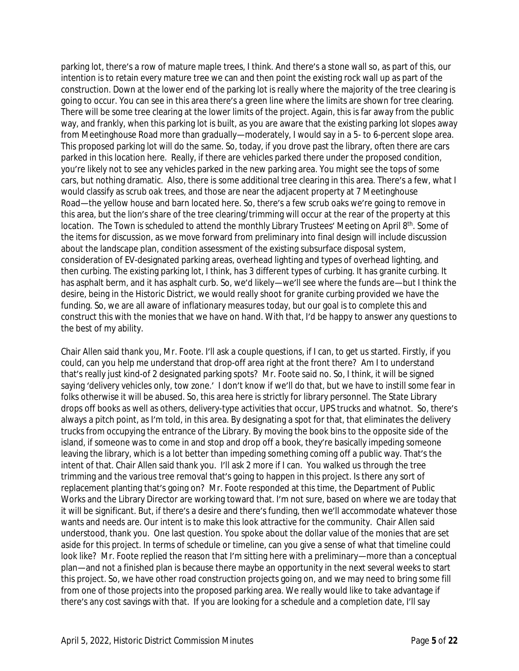parking lot, there's a row of mature maple trees, I think. And there's a stone wall so, as part of this, our intention is to retain every mature tree we can and then point the existing rock wall up as part of the construction. Down at the lower end of the parking lot is really where the majority of the tree clearing is going to occur. You can see in this area there's a green line where the limits are shown for tree clearing. There will be some tree clearing at the lower limits of the project. Again, this is far away from the public way, and frankly, when this parking lot is built, as you are aware that the existing parking lot slopes away from Meetinghouse Road more than gradually—moderately, I would say in a 5- to 6-percent slope area. This proposed parking lot will do the same. So, today, if you drove past the library, often there are cars parked in this location here. Really, if there are vehicles parked there under the proposed condition, you're likely not to see any vehicles parked in the new parking area. You might see the tops of some cars, but nothing dramatic. Also, there is some additional tree clearing in this area. There's a few, what I would classify as scrub oak trees, and those are near the adjacent property at 7 Meetinghouse Road—the yellow house and barn located here. So, there's a few scrub oaks we're going to remove in this area, but the lion's share of the tree clearing/trimming will occur at the rear of the property at this location. The Town is scheduled to attend the monthly Library Trustees' Meeting on April 8<sup>th</sup>. Some of the items for discussion, as we move forward from preliminary into final design will include discussion about the landscape plan, condition assessment of the existing subsurface disposal system, consideration of EV-designated parking areas, overhead lighting and types of overhead lighting, and then curbing. The existing parking lot, I think, has 3 different types of curbing. It has granite curbing. It has asphalt berm, and it has asphalt curb. So, we'd likely—we'll see where the funds are—but I think the desire, being in the Historic District, we would really shoot for granite curbing provided we have the funding. So, we are all aware of inflationary measures today, but our goal is to complete this and construct this with the monies that we have on hand. With that, I'd be happy to answer any questions to the best of my ability.

Chair Allen said thank you, Mr. Foote. I'll ask a couple questions, if I can, to get us started. Firstly, if you could, can you help me understand that drop-off area right at the front there? Am I to understand that's really just kind-of 2 designated parking spots? Mr. Foote said no. So, I think, it will be signed saying 'delivery vehicles only, tow zone.' I don't know if we'll do that, but we have to instill some fear in folks otherwise it will be abused. So, this area here is strictly for library personnel. The State Library drops off books as well as others, delivery-type activities that occur, UPS trucks and whatnot. So, there's always a pitch point, as I'm told, in this area. By designating a spot for that, that eliminates the delivery trucks from occupying the entrance of the Library. By moving the book bins to the opposite side of the island, if someone was to come in and stop and drop off a book, they're basically impeding someone leaving the library, which is a lot better than impeding something coming off a public way. That's the intent of that. Chair Allen said thank you. I'll ask 2 more if I can. You walked us through the tree trimming and the various tree removal that's going to happen in this project. Is there any sort of replacement planting that's going on? Mr. Foote responded at this time, the Department of Public Works and the Library Director are working toward that. I'm not sure, based on where we are today that it will be significant. But, if there's a desire and there's funding, then we'll accommodate whatever those wants and needs are. Our intent is to make this look attractive for the community. Chair Allen said understood, thank you. One last question. You spoke about the dollar value of the monies that are set aside for this project. In terms of schedule or timeline, can you give a sense of what that timeline could look like? Mr. Foote replied the reason that I'm sitting here with a preliminary—more than a conceptual plan—and not a finished plan is because there maybe an opportunity in the next several weeks to start this project. So, we have other road construction projects going on, and we may need to bring some fill from one of those projects into the proposed parking area. We really would like to take advantage if there's any cost savings with that. If you are looking for a schedule and a completion date, I'll say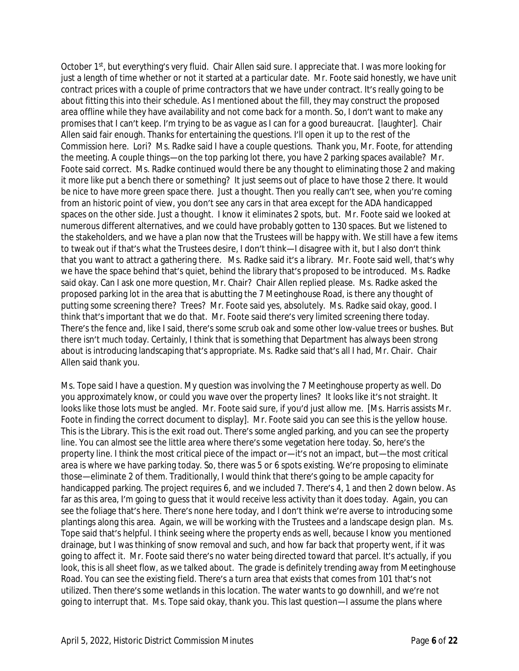October 1<sup>st</sup>, but everything's very fluid. Chair Allen said sure. I appreciate that. I was more looking for just a length of time whether or not it started at a particular date. Mr. Foote said honestly, we have unit contract prices with a couple of prime contractors that we have under contract. It's really going to be about fitting this into their schedule. As I mentioned about the fill, they may construct the proposed area offline while they have availability and not come back for a month. So, I don't want to make any promises that I can't keep. I'm trying to be as vague as I can for a good bureaucrat. [laughter]. Chair Allen said fair enough. Thanks for entertaining the questions. I'll open it up to the rest of the Commission here. Lori? Ms. Radke said I have a couple questions. Thank you, Mr. Foote, for attending the meeting. A couple things—on the top parking lot there, you have 2 parking spaces available? Mr. Foote said correct. Ms. Radke continued would there be any thought to eliminating those 2 and making it more like put a bench there or something? It just seems out of place to have those 2 there. It would be nice to have more green space there. Just a thought. Then you really can't see, when you're coming from an historic point of view, you don't see any cars in that area except for the ADA handicapped spaces on the other side. Just a thought. I know it eliminates 2 spots, but. Mr. Foote said we looked at numerous different alternatives, and we could have probably gotten to 130 spaces. But we listened to the stakeholders, and we have a plan now that the Trustees will be happy with. We still have a few items to tweak out if that's what the Trustees desire, I don't think—I disagree with it, but I also don't think that you want to attract a gathering there. Ms. Radke said it's a library. Mr. Foote said well, that's why we have the space behind that's quiet, behind the library that's proposed to be introduced. Ms. Radke said okay. Can I ask one more question, Mr. Chair? Chair Allen replied please. Ms. Radke asked the proposed parking lot in the area that is abutting the 7 Meetinghouse Road, is there any thought of putting some screening there? Trees? Mr. Foote said yes, absolutely. Ms. Radke said okay, good. I think that's important that we do that. Mr. Foote said there's very limited screening there today. There's the fence and, like I said, there's some scrub oak and some other low-value trees or bushes. But there isn't much today. Certainly, I think that is something that Department has always been strong about is introducing landscaping that's appropriate. Ms. Radke said that's all I had, Mr. Chair. Chair Allen said thank you.

Ms. Tope said I have a question. My question was involving the 7 Meetinghouse property as well. Do you approximately know, or could you wave over the property lines? It looks like it's not straight. It looks like those lots must be angled. Mr. Foote said sure, if you'd just allow me. [Ms. Harris assists Mr. Foote in finding the correct document to display]. Mr. Foote said you can see this is the yellow house. This is the Library. This is the exit road out. There's some angled parking, and you can see the property line. You can almost see the little area where there's some vegetation here today. So, here's the property line. I think the most critical piece of the impact or—it's not an impact, but—the most critical area is where we have parking today. So, there was 5 or 6 spots existing. We're proposing to eliminate those—eliminate 2 of them. Traditionally, I would think that there's going to be ample capacity for handicapped parking. The project requires 6, and we included 7. There's 4, 1 and then 2 down below. As far as this area, I'm going to guess that it would receive less activity than it does today. Again, you can see the foliage that's here. There's none here today, and I don't think we're averse to introducing some plantings along this area. Again, we will be working with the Trustees and a landscape design plan. Ms. Tope said that's helpful. I think seeing where the property ends as well, because I know you mentioned drainage, but I was thinking of snow removal and such, and how far back that property went, if it was going to affect it. Mr. Foote said there's no water being directed toward that parcel. It's actually, if you look, this is all sheet flow, as we talked about. The grade is definitely trending away from Meetinghouse Road. You can see the existing field. There's a turn area that exists that comes from 101 that's not utilized. Then there's some wetlands in this location. The water wants to go downhill, and we're not going to interrupt that. Ms. Tope said okay, thank you. This last question—I assume the plans where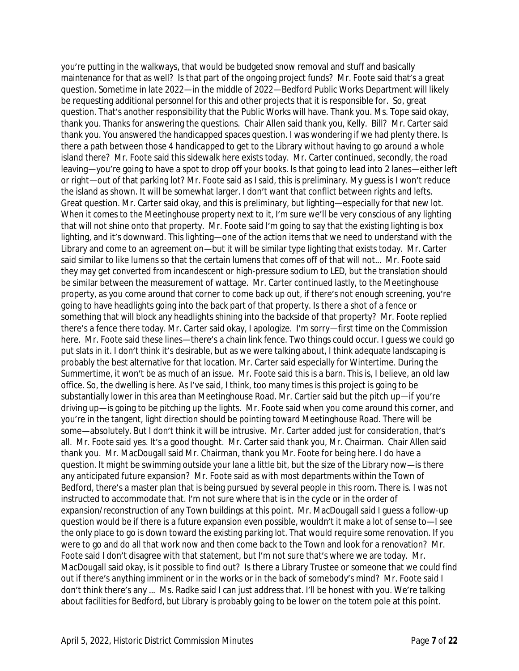you're putting in the walkways, that would be budgeted snow removal and stuff and basically maintenance for that as well? Is that part of the ongoing project funds? Mr. Foote said that's a great question. Sometime in late 2022—in the middle of 2022—Bedford Public Works Department will likely be requesting additional personnel for this and other projects that it is responsible for. So, great question. That's another responsibility that the Public Works will have. Thank you. Ms. Tope said okay, thank you. Thanks for answering the questions. Chair Allen said thank you, Kelly. Bill? Mr. Carter said thank you. You answered the handicapped spaces question. I was wondering if we had plenty there. Is there a path between those 4 handicapped to get to the Library without having to go around a whole island there? Mr. Foote said this sidewalk here exists today. Mr. Carter continued, secondly, the road leaving—you're going to have a spot to drop off your books. Is that going to lead into 2 lanes—either left or right—out of that parking lot? Mr. Foote said as I said, this is preliminary. My guess is I won't reduce the island as shown. It will be somewhat larger. I don't want that conflict between rights and lefts. Great question. Mr. Carter said okay, and this is preliminary, but lighting—especially for that new lot. When it comes to the Meetinghouse property next to it, I'm sure we'll be very conscious of any lighting that will not shine onto that property. Mr. Foote said I'm going to say that the existing lighting is box lighting, and it's downward. This lighting—one of the action items that we need to understand with the Library and come to an agreement on—but it will be similar type lighting that exists today. Mr. Carter said similar to like lumens so that the certain lumens that comes off of that will not… Mr. Foote said they may get converted from incandescent or high-pressure sodium to LED, but the translation should be similar between the measurement of wattage. Mr. Carter continued lastly, to the Meetinghouse property, as you come around that corner to come back up out, if there's not enough screening, you're going to have headlights going into the back part of that property. Is there a shot of a fence or something that will block any headlights shining into the backside of that property? Mr. Foote replied there's a fence there today. Mr. Carter said okay, I apologize. I'm sorry—first time on the Commission here. Mr. Foote said these lines—there's a chain link fence. Two things could occur. I quess we could go put slats in it. I don't think it's desirable, but as we were talking about, I think adequate landscaping is probably the best alternative for that location. Mr. Carter said especially for Wintertime. During the Summertime, it won't be as much of an issue. Mr. Foote said this is a barn. This is, I believe, an old law office. So, the dwelling is here. As I've said, I think, too many times is this project is going to be substantially lower in this area than Meetinghouse Road. Mr. Cartier said but the pitch up—if you're driving up—is going to be pitching up the lights. Mr. Foote said when you come around this corner, and you're in the tangent, light direction should be pointing toward Meetinghouse Road. There will be some—absolutely. But I don't think it will be intrusive. Mr. Carter added just for consideration, that's all. Mr. Foote said yes. It's a good thought. Mr. Carter said thank you, Mr. Chairman. Chair Allen said thank you. Mr. MacDougall said Mr. Chairman, thank you Mr. Foote for being here. I do have a question. It might be swimming outside your lane a little bit, but the size of the Library now—is there any anticipated future expansion? Mr. Foote said as with most departments within the Town of Bedford, there's a master plan that is being pursued by several people in this room. There is. I was not instructed to accommodate that. I'm not sure where that is in the cycle or in the order of expansion/reconstruction of any Town buildings at this point. Mr. MacDougall said I guess a follow-up question would be if there is a future expansion even possible, wouldn't it make a lot of sense to—I see the only place to go is down toward the existing parking lot. That would require some renovation. If you were to go and do all that work now and then come back to the Town and look for a renovation? Mr. Foote said I don't disagree with that statement, but I'm not sure that's where we are today. Mr. MacDougall said okay, is it possible to find out? Is there a Library Trustee or someone that we could find out if there's anything imminent or in the works or in the back of somebody's mind? Mr. Foote said I don't think there's any … Ms. Radke said I can just address that. I'll be honest with you. We're talking about facilities for Bedford, but Library is probably going to be lower on the totem pole at this point.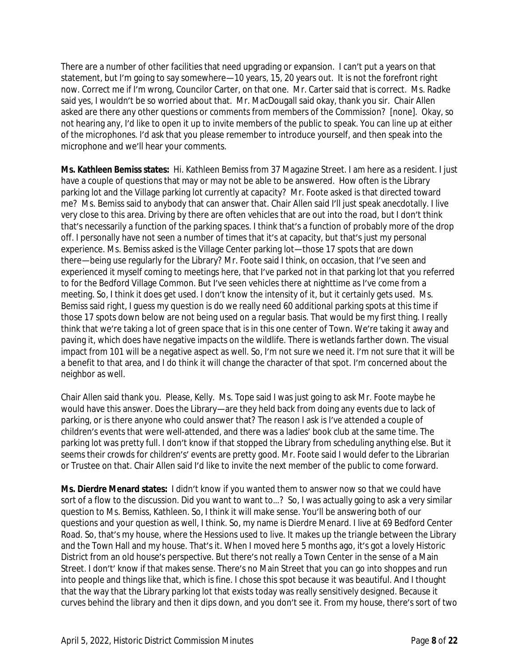There are a number of other facilities that need upgrading or expansion. I can't put a years on that statement, but I'm going to say somewhere—10 years, 15, 20 years out. It is not the forefront right now. Correct me if I'm wrong, Councilor Carter, on that one. Mr. Carter said that is correct. Ms. Radke said yes, I wouldn't be so worried about that. Mr. MacDougall said okay, thank you sir. Chair Allen asked are there any other questions or comments from members of the Commission? [none]. Okay, so not hearing any, I'd like to open it up to invite members of the public to speak. You can line up at either of the microphones. I'd ask that you please remember to introduce yourself, and then speak into the microphone and we'll hear your comments.

**Ms. Kathleen Bemiss states:** Hi. Kathleen Bemiss from 37 Magazine Street. I am here as a resident. I just have a couple of questions that may or may not be able to be answered. How often is the Library parking lot and the Village parking lot currently at capacity? Mr. Foote asked is that directed toward me? Ms. Bemiss said to anybody that can answer that. Chair Allen said I'll just speak anecdotally. I live very close to this area. Driving by there are often vehicles that are out into the road, but I don't think that's necessarily a function of the parking spaces. I think that's a function of probably more of the drop off. I personally have not seen a number of times that it's at capacity, but that's just my personal experience. Ms. Bemiss asked is the Village Center parking lot—those 17 spots that are down there—being use regularly for the Library? Mr. Foote said I think, on occasion, that I've seen and experienced it myself coming to meetings here, that I've parked not in that parking lot that you referred to for the Bedford Village Common. But I've seen vehicles there at nighttime as I've come from a meeting. So, I think it does get used. I don't know the intensity of it, but it certainly gets used. Ms. Bemiss said right, I guess my question is do we really need 60 additional parking spots at this time if those 17 spots down below are not being used on a regular basis. That would be my first thing. I really think that we're taking a lot of green space that is in this one center of Town. We're taking it away and paving it, which does have negative impacts on the wildlife. There is wetlands farther down. The visual impact from 101 will be a negative aspect as well. So, I'm not sure we need it. I'm not sure that it will be a benefit to that area, and I do think it will change the character of that spot. I'm concerned about the neighbor as well.

Chair Allen said thank you. Please, Kelly. Ms. Tope said I was just going to ask Mr. Foote maybe he would have this answer. Does the Library—are they held back from doing any events due to lack of parking, or is there anyone who could answer that? The reason I ask is I've attended a couple of children's events that were well-attended, and there was a ladies' book club at the same time. The parking lot was pretty full. I don't know if that stopped the Library from scheduling anything else. But it seems their crowds for children's' events are pretty good. Mr. Foote said I would defer to the Librarian or Trustee on that. Chair Allen said I'd like to invite the next member of the public to come forward.

**Ms. Dierdre Menard states:** I didn't know if you wanted them to answer now so that we could have sort of a flow to the discussion. Did you want to want to...? So, I was actually going to ask a very similar question to Ms. Bemiss, Kathleen. So, I think it will make sense. You'll be answering both of our questions and your question as well, I think. So, my name is Dierdre Menard. I live at 69 Bedford Center Road. So, that's my house, where the Hessions used to live. It makes up the triangle between the Library and the Town Hall and my house. That's it. When I moved here 5 months ago, it's got a lovely Historic District from an old house's perspective. But there's not really a Town Center in the sense of a Main Street. I don't' know if that makes sense. There's no Main Street that you can go into shoppes and run into people and things like that, which is fine. I chose this spot because it was beautiful. And I thought that the way that the Library parking lot that exists today was really sensitively designed. Because it curves behind the library and then it dips down, and you don't see it. From my house, there's sort of two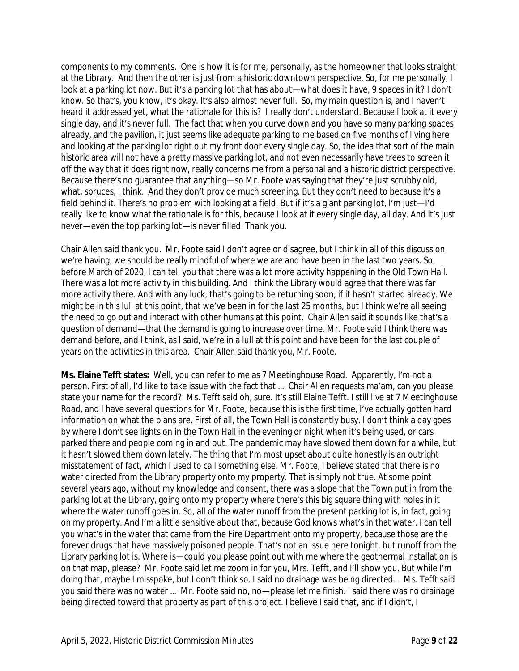components to my comments. One is how it is for me, personally, as the homeowner that looks straight at the Library. And then the other is just from a historic downtown perspective. So, for me personally, I look at a parking lot now. But it's a parking lot that has about—what does it have, 9 spaces in it? I don't know. So that's, you know, it's okay. It's also almost never full. So, my main question is, and I haven't heard it addressed yet, what the rationale for this is? I really don't understand. Because I look at it every single day, and it's never full. The fact that when you curve down and you have so many parking spaces already, and the pavilion, it just seems like adequate parking to me based on five months of living here and looking at the parking lot right out my front door every single day. So, the idea that sort of the main historic area will not have a pretty massive parking lot, and not even necessarily have trees to screen it off the way that it does right now, really concerns me from a personal and a historic district perspective. Because there's no guarantee that anything—so Mr. Foote was saying that they're just scrubby old, what, spruces, I think. And they don't provide much screening. But they don't need to because it's a field behind it. There's no problem with looking at a field. But if it's a giant parking lot, I'm just—I'd really like to know what the rationale is for this, because I look at it every single day, all day. And it's just never—even the top parking lot—is never filled. Thank you.

Chair Allen said thank you. Mr. Foote said I don't agree or disagree, but I think in all of this discussion we're having, we should be really mindful of where we are and have been in the last two years. So, before March of 2020, I can tell you that there was a lot more activity happening in the Old Town Hall. There was a lot more activity in this building. And I think the Library would agree that there was far more activity there. And with any luck, that's going to be returning soon, if it hasn't started already. We might be in this lull at this point, that we've been in for the last 25 months, but I think we're all seeing the need to go out and interact with other humans at this point. Chair Allen said it sounds like that's a question of demand—that the demand is going to increase over time. Mr. Foote said I think there was demand before, and I think, as I said, we're in a lull at this point and have been for the last couple of years on the activities in this area. Chair Allen said thank you, Mr. Foote.

**Ms. Elaine Tefft states:** Well, you can refer to me as 7 Meetinghouse Road. Apparently, I'm not a person. First of all, I'd like to take issue with the fact that … Chair Allen requests ma'am, can you please state your name for the record? Ms. Tefft said oh, sure. It's still Elaine Tefft. I still live at 7 Meetinghouse Road, and I have several questions for Mr. Foote, because this is the first time, I've actually gotten hard information on what the plans are. First of all, the Town Hall is constantly busy. I don't think a day goes by where I don't see lights on in the Town Hall in the evening or night when it's being used, or cars parked there and people coming in and out. The pandemic may have slowed them down for a while, but it hasn't slowed them down lately. The thing that I'm most upset about quite honestly is an outright misstatement of fact, which I used to call something else. Mr. Foote, I believe stated that there is no water directed from the Library property onto my property. That is simply not true. At some point several years ago, without my knowledge and consent, there was a slope that the Town put in from the parking lot at the Library, going onto my property where there's this big square thing with holes in it where the water runoff goes in. So, all of the water runoff from the present parking lot is, in fact, going on my property. And I'm a little sensitive about that, because God knows what's in that water. I can tell you what's in the water that came from the Fire Department onto my property, because those are the forever drugs that have massively poisoned people. That's not an issue here tonight, but runoff from the Library parking lot is. Where is—could you please point out with me where the geothermal installation is on that map, please? Mr. Foote said let me zoom in for you, Mrs. Tefft, and I'll show you. But while I'm doing that, maybe I misspoke, but I don't think so. I said no drainage was being directed… Ms. Tefft said you said there was no water … Mr. Foote said no, no—please let me finish. I said there was no drainage being directed toward that property as part of this project. I believe I said that, and if I didn't, I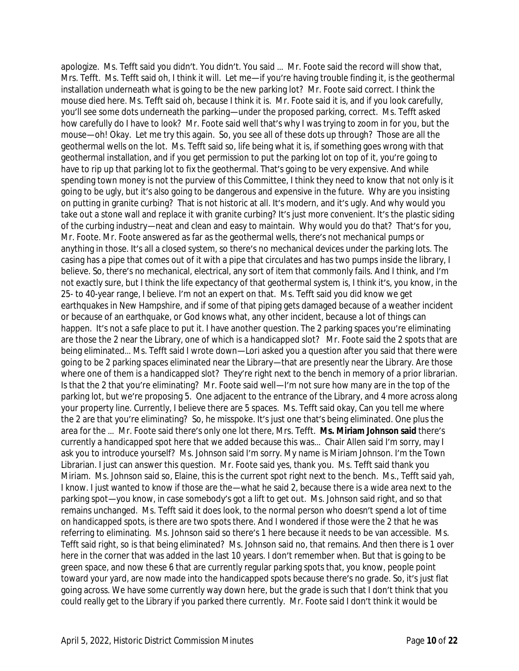apologize. Ms. Tefft said you didn't. You didn't. You said … Mr. Foote said the record will show that, Mrs. Tefft. Ms. Tefft said oh, I think it will. Let me—if you're having trouble finding it, is the geothermal installation underneath what is going to be the new parking lot? Mr. Foote said correct. I think the mouse died here. Ms. Tefft said oh, because I think it is. Mr. Foote said it is, and if you look carefully, you'll see some dots underneath the parking—under the proposed parking, correct. Ms. Tefft asked how carefully do I have to look? Mr. Foote said well that's why I was trying to zoom in for you, but the mouse—oh! Okay. Let me try this again. So, you see all of these dots up through? Those are all the geothermal wells on the lot. Ms. Tefft said so, life being what it is, if something goes wrong with that geothermal installation, and if you get permission to put the parking lot on top of it, you're going to have to rip up that parking lot to fix the geothermal. That's going to be very expensive. And while spending town money is not the purview of this Committee, I think they need to know that not only is it going to be ugly, but it's also going to be dangerous and expensive in the future. Why are you insisting on putting in granite curbing? That is not historic at all. It's modern, and it's ugly. And why would you take out a stone wall and replace it with granite curbing? It's just more convenient. It's the plastic siding of the curbing industry—neat and clean and easy to maintain. Why would you do that? That's for you, Mr. Foote. Mr. Foote answered as far as the geothermal wells, there's not mechanical pumps or anything in those. It's all a closed system, so there's no mechanical devices under the parking lots. The casing has a pipe that comes out of it with a pipe that circulates and has two pumps inside the library, I believe. So, there's no mechanical, electrical, any sort of item that commonly fails. And I think, and I'm not exactly sure, but I think the life expectancy of that geothermal system is, I think it's, you know, in the 25- to 40-year range, I believe. I'm not an expert on that. Ms. Tefft said you did know we get earthquakes in New Hampshire, and if some of that piping gets damaged because of a weather incident or because of an earthquake, or God knows what, any other incident, because a lot of things can happen. It's not a safe place to put it. I have another question. The 2 parking spaces you're eliminating are those the 2 near the Library, one of which is a handicapped slot? Mr. Foote said the 2 spots that are being eliminated… Ms. Tefft said I wrote down—Lori asked you a question after you said that there were going to be 2 parking spaces eliminated near the Library—that are presently near the Library. Are those where one of them is a handicapped slot? They're right next to the bench in memory of a prior librarian. Is that the 2 that you're eliminating? Mr. Foote said well—I'm not sure how many are in the top of the parking lot, but we're proposing 5. One adjacent to the entrance of the Library, and 4 more across along your property line. Currently, I believe there are 5 spaces. Ms. Tefft said okay, Can you tell me where the 2 are that you're eliminating? So, he misspoke. It's just one that's being eliminated. One plus the area for the … Mr. Foote said there's only one lot there, Mrs. Tefft. **Ms. Miriam Johnson said** there's currently a handicapped spot here that we added because this was… Chair Allen said I'm sorry, may I ask you to introduce yourself? Ms. Johnson said I'm sorry. My name is Miriam Johnson. I'm the Town Librarian. I just can answer this question. Mr. Foote said yes, thank you. Ms. Tefft said thank you Miriam. Ms. Johnson said so, Elaine, this is the current spot right next to the bench. Ms., Tefft said yah, I know. I just wanted to know if those are the—what he said 2, because there is a wide area next to the parking spot—you know, in case somebody's got a lift to get out. Ms. Johnson said right, and so that remains unchanged. Ms. Tefft said it does look, to the normal person who doesn't spend a lot of time on handicapped spots, is there are two spots there. And I wondered if those were the 2 that he was referring to eliminating. Ms. Johnson said so there's 1 here because it needs to be van accessible. Ms. Tefft said right, so is that being eliminated? Ms. Johnson said no, that remains. And then there is 1 over here in the corner that was added in the last 10 years. I don't remember when. But that is going to be green space, and now these 6 that are currently regular parking spots that, you know, people point toward your yard, are now made into the handicapped spots because there's no grade. So, it's just flat going across. We have some currently way down here, but the grade is such that I don't think that you could really get to the Library if you parked there currently. Mr. Foote said I don't think it would be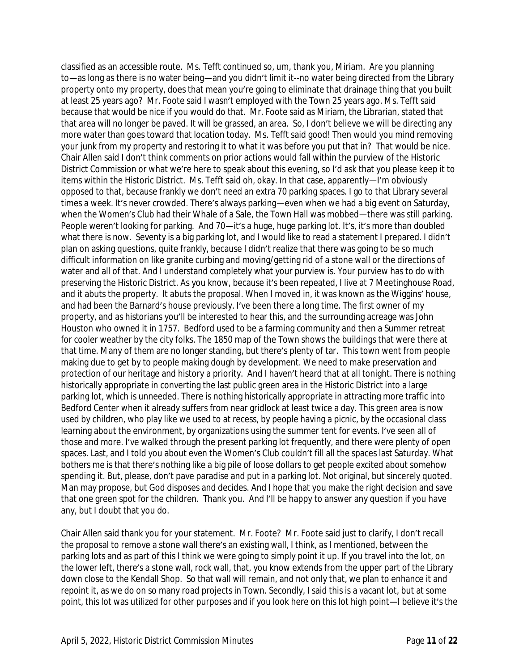classified as an accessible route. Ms. Tefft continued so, um, thank you, Miriam. Are you planning to—as long as there is no water being—and you didn't limit it--no water being directed from the Library property onto my property, does that mean you're going to eliminate that drainage thing that you built at least 25 years ago? Mr. Foote said I wasn't employed with the Town 25 years ago. Ms. Tefft said because that would be nice if you would do that. Mr. Foote said as Miriam, the Librarian, stated that that area will no longer be paved. It will be grassed, an area. So, I don't believe we will be directing any more water than goes toward that location today. Ms. Tefft said good! Then would you mind removing your junk from my property and restoring it to what it was before you put that in? That would be nice. Chair Allen said I don't think comments on prior actions would fall within the purview of the Historic District Commission or what we're here to speak about this evening, so I'd ask that you please keep it to items within the Historic District. Ms. Tefft said oh, okay. In that case, apparently—I'm obviously opposed to that, because frankly we don't need an extra 70 parking spaces. I go to that Library several times a week. It's never crowded. There's always parking—even when we had a big event on Saturday, when the Women's Club had their Whale of a Sale, the Town Hall was mobbed—there was still parking. People weren't looking for parking. And 70-it's a huge, huge parking lot. It's, it's more than doubled what there is now. Seventy is a big parking lot, and I would like to read a statement I prepared. I didn't plan on asking questions, quite frankly, because I didn't realize that there was going to be so much difficult information on like granite curbing and moving/getting rid of a stone wall or the directions of water and all of that. And I understand completely what your purview is. Your purview has to do with preserving the Historic District. As you know, because it's been repeated, I live at 7 Meetinghouse Road, and it abuts the property. It abuts the proposal. When I moved in, it was known as the Wiggins' house, and had been the Barnard's house previously. I've been there a long time. The first owner of my property, and as historians you'll be interested to hear this, and the surrounding acreage was John Houston who owned it in 1757. Bedford used to be a farming community and then a Summer retreat for cooler weather by the city folks. The 1850 map of the Town shows the buildings that were there at that time. Many of them are no longer standing, but there's plenty of tar. This town went from people making due to get by to people making dough by development. We need to make preservation and protection of our heritage and history a priority. And I haven't heard that at all tonight. There is nothing historically appropriate in converting the last public green area in the Historic District into a large parking lot, which is unneeded. There is nothing historically appropriate in attracting more traffic into Bedford Center when it already suffers from near gridlock at least twice a day. This green area is now used by children, who play like we used to at recess, by people having a picnic, by the occasional class learning about the environment, by organizations using the summer tent for events. I've seen all of those and more. I've walked through the present parking lot frequently, and there were plenty of open spaces. Last, and I told you about even the Women's Club couldn't fill all the spaces last Saturday. What bothers me is that there's nothing like a big pile of loose dollars to get people excited about somehow spending it. But, please, don't pave paradise and put in a parking lot. Not original, but sincerely quoted. Man may propose, but God disposes and decides. And I hope that you make the right decision and save that one green spot for the children. Thank you. And I'll be happy to answer any question if you have any, but I doubt that you do.

Chair Allen said thank you for your statement. Mr. Foote? Mr. Foote said just to clarify, I don't recall the proposal to remove a stone wall there's an existing wall, I think, as I mentioned, between the parking lots and as part of this I think we were going to simply point it up. If you travel into the lot, on the lower left, there's a stone wall, rock wall, that, you know extends from the upper part of the Library down close to the Kendall Shop. So that wall will remain, and not only that, we plan to enhance it and repoint it, as we do on so many road projects in Town. Secondly, I said this is a vacant lot, but at some point, this lot was utilized for other purposes and if you look here on this lot high point—I believe it's the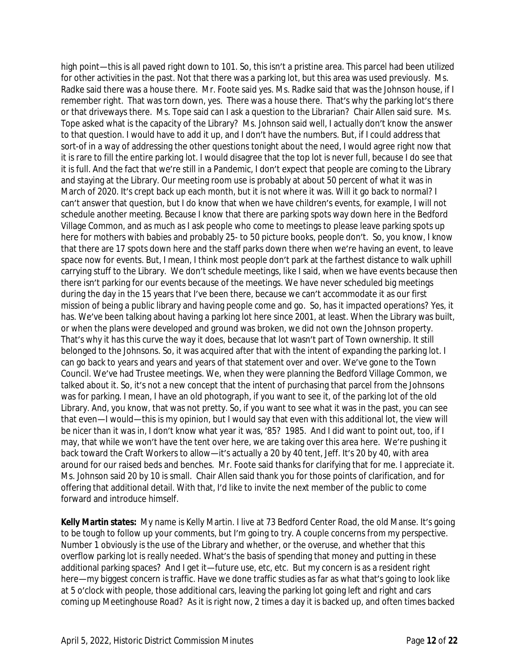high point—this is all paved right down to 101. So, this isn't a pristine area. This parcel had been utilized for other activities in the past. Not that there was a parking lot, but this area was used previously. Ms. Radke said there was a house there. Mr. Foote said yes. Ms. Radke said that was the Johnson house, if I remember right. That was torn down, yes. There was a house there. That's why the parking lot's there or that driveways there. Ms. Tope said can I ask a question to the Librarian? Chair Allen said sure. Ms. Tope asked what is the capacity of the Library? Ms. Johnson said well, I actually don't know the answer to that question. I would have to add it up, and I don't have the numbers. But, if I could address that sort-of in a way of addressing the other questions tonight about the need, I would agree right now that it is rare to fill the entire parking lot. I would disagree that the top lot is never full, because I do see that it is full. And the fact that we're still in a Pandemic, I don't expect that people are coming to the Library and staying at the Library. Our meeting room use is probably at about 50 percent of what it was in March of 2020. It's crept back up each month, but it is not where it was. Will it go back to normal? I can't answer that question, but I do know that when we have children's events, for example, I will not schedule another meeting. Because I know that there are parking spots way down here in the Bedford Village Common, and as much as I ask people who come to meetings to please leave parking spots up here for mothers with babies and probably 25- to 50 picture books, people don't. So, you know, I know that there are 17 spots down here and the staff parks down there when we're having an event, to leave space now for events. But, I mean, I think most people don't park at the farthest distance to walk uphill carrying stuff to the Library. We don't schedule meetings, like I said, when we have events because then there isn't parking for our events because of the meetings. We have never scheduled big meetings during the day in the 15 years that I've been there, because we can't accommodate it as our first mission of being a public library and having people come and go. So, has it impacted operations? Yes, it has. We've been talking about having a parking lot here since 2001, at least. When the Library was built, or when the plans were developed and ground was broken, we did not own the Johnson property. That's why it has this curve the way it does, because that lot wasn't part of Town ownership. It still belonged to the Johnsons. So, it was acquired after that with the intent of expanding the parking lot. I can go back to years and years and years of that statement over and over. We've gone to the Town Council. We've had Trustee meetings. We, when they were planning the Bedford Village Common, we talked about it. So, it's not a new concept that the intent of purchasing that parcel from the Johnsons was for parking. I mean, I have an old photograph, if you want to see it, of the parking lot of the old Library. And, you know, that was not pretty. So, if you want to see what it was in the past, you can see that even—I would—this is my opinion, but I would say that even with this additional lot, the view will be nicer than it was in, I don't know what year it was, '85? 1985. And I did want to point out, too, if I may, that while we won't have the tent over here, we are taking over this area here. We're pushing it back toward the Craft Workers to allow—it's actually a 20 by 40 tent, Jeff. It's 20 by 40, with area around for our raised beds and benches. Mr. Foote said thanks for clarifying that for me. I appreciate it. Ms. Johnson said 20 by 10 is small. Chair Allen said thank you for those points of clarification, and for offering that additional detail. With that, I'd like to invite the next member of the public to come forward and introduce himself.

**Kelly Martin states:** My name is Kelly Martin. I live at 73 Bedford Center Road, the old Manse. It's going to be tough to follow up your comments, but I'm going to try. A couple concerns from my perspective. Number 1 obviously is the use of the Library and whether, or the overuse, and whether that this overflow parking lot is really needed. What's the basis of spending that money and putting in these additional parking spaces? And I get it—future use, etc, etc. But my concern is as a resident right here—my biggest concern is traffic. Have we done traffic studies as far as what that's going to look like at 5 o'clock with people, those additional cars, leaving the parking lot going left and right and cars coming up Meetinghouse Road? As it is right now, 2 times a day it is backed up, and often times backed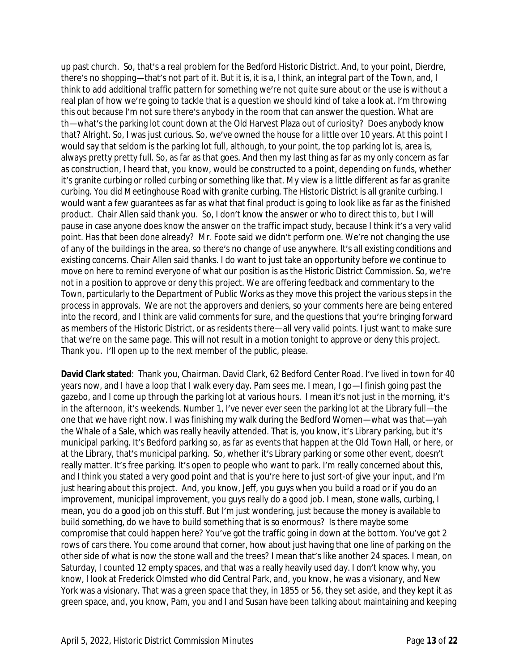up past church. So, that's a real problem for the Bedford Historic District. And, to your point, Dierdre, there's no shopping—that's not part of it. But it is, it is a, I think, an integral part of the Town, and, I think to add additional traffic pattern for something we're not quite sure about or the use is without a real plan of how we're going to tackle that is a question we should kind of take a look at. I'm throwing this out because I'm not sure there's anybody in the room that can answer the question. What are th—what's the parking lot count down at the Old Harvest Plaza out of curiosity? Does anybody know that? Alright. So, I was just curious. So, we've owned the house for a little over 10 years. At this point I would say that seldom is the parking lot full, although, to your point, the top parking lot is, area is, always pretty pretty full. So, as far as that goes. And then my last thing as far as my only concern as far as construction, I heard that, you know, would be constructed to a point, depending on funds, whether it's granite curbing or rolled curbing or something like that. My view is a little different as far as granite curbing. You did Meetinghouse Road with granite curbing. The Historic District is all granite curbing. I would want a few guarantees as far as what that final product is going to look like as far as the finished product. Chair Allen said thank you. So, I don't know the answer or who to direct this to, but I will pause in case anyone does know the answer on the traffic impact study, because I think it's a very valid point. Has that been done already? Mr. Foote said we didn't perform one. We're not changing the use of any of the buildings in the area, so there's no change of use anywhere. It's all existing conditions and existing concerns. Chair Allen said thanks. I do want to just take an opportunity before we continue to move on here to remind everyone of what our position is as the Historic District Commission. So, we're not in a position to approve or deny this project. We are offering feedback and commentary to the Town, particularly to the Department of Public Works as they move this project the various steps in the process in approvals. We are not the approvers and deniers, so your comments here are being entered into the record, and I think are valid comments for sure, and the questions that you're bringing forward as members of the Historic District, or as residents there—all very valid points. I just want to make sure that we're on the same page. This will not result in a motion tonight to approve or deny this project. Thank you. I'll open up to the next member of the public, please.

**David Clark stated**: Thank you, Chairman. David Clark, 62 Bedford Center Road. I've lived in town for 40 years now, and I have a loop that I walk every day. Pam sees me. I mean, I go-I finish going past the gazebo, and I come up through the parking lot at various hours. I mean it's not just in the morning, it's in the afternoon, it's weekends. Number 1, I've never ever seen the parking lot at the Library full—the one that we have right now. I was finishing my walk during the Bedford Women—what was that—yah the Whale of a Sale, which was really heavily attended. That is, you know, it's Library parking, but it's municipal parking. It's Bedford parking so, as far as events that happen at the Old Town Hall, or here, or at the Library, that's municipal parking. So, whether it's Library parking or some other event, doesn't really matter. It's free parking. It's open to people who want to park. I'm really concerned about this, and I think you stated a very good point and that is you're here to just sort-of give your input, and I'm just hearing about this project. And, you know, Jeff, you guys when you build a road or if you do an improvement, municipal improvement, you guys really do a good job. I mean, stone walls, curbing, I mean, you do a good job on this stuff. But I'm just wondering, just because the money is available to build something, do we have to build something that is so enormous? Is there maybe some compromise that could happen here? You've got the traffic going in down at the bottom. You've got 2 rows of cars there. You come around that corner, how about just having that one line of parking on the other side of what is now the stone wall and the trees? I mean that's like another 24 spaces. I mean, on Saturday, I counted 12 empty spaces, and that was a really heavily used day. I don't know why, you know, I look at Frederick Olmsted who did Central Park, and, you know, he was a visionary, and New York was a visionary. That was a green space that they, in 1855 or 56, they set aside, and they kept it as green space, and, you know, Pam, you and I and Susan have been talking about maintaining and keeping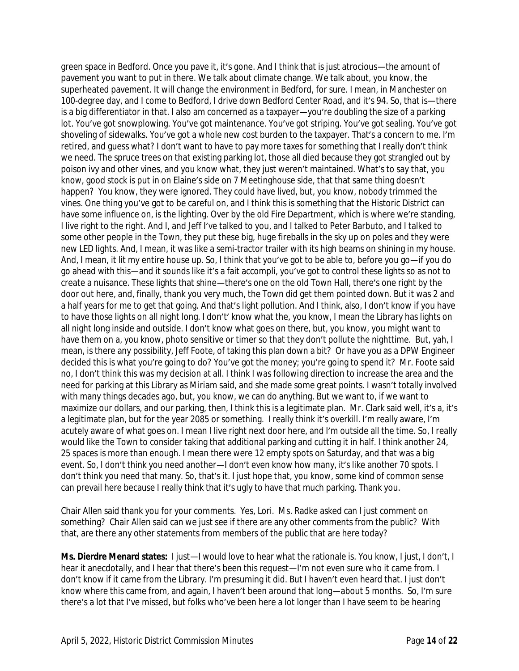green space in Bedford. Once you pave it, it's gone. And I think that is just atrocious—the amount of pavement you want to put in there. We talk about climate change. We talk about, you know, the superheated pavement. It will change the environment in Bedford, for sure. I mean, in Manchester on 100-degree day, and I come to Bedford, I drive down Bedford Center Road, and it's 94. So, that is—there is a big differentiator in that. I also am concerned as a taxpayer—you're doubling the size of a parking lot. You've got snowplowing. You've got maintenance. You've got striping. You've got sealing. You've got shoveling of sidewalks. You've got a whole new cost burden to the taxpayer. That's a concern to me. I'm retired, and guess what? I don't want to have to pay more taxes for something that I really don't think we need. The spruce trees on that existing parking lot, those all died because they got strangled out by poison ivy and other vines, and you know what, they just weren't maintained. What's to say that, you know, good stock is put in on Elaine's side on 7 Meetinghouse side, that that same thing doesn't happen? You know, they were ignored. They could have lived, but, you know, nobody trimmed the vines. One thing you've got to be careful on, and I think this is something that the Historic District can have some influence on, is the lighting. Over by the old Fire Department, which is where we're standing, I live right to the right. And I, and Jeff I've talked to you, and I talked to Peter Barbuto, and I talked to some other people in the Town, they put these big, huge fireballs in the sky up on poles and they were new LED lights. And, I mean, it was like a semi-tractor trailer with its high beams on shining in my house. And, I mean, it lit my entire house up. So, I think that you've got to be able to, before you go—if you do go ahead with this—and it sounds like it's a fait accompli, you've got to control these lights so as not to create a nuisance. These lights that shine—there's one on the old Town Hall, there's one right by the door out here, and, finally, thank you very much, the Town did get them pointed down. But it was 2 and a half years for me to get that going. And that's light pollution. And I think, also, I don't know if you have to have those lights on all night long. I don't' know what the, you know, I mean the Library has lights on all night long inside and outside. I don't know what goes on there, but, you know, you might want to have them on a, you know, photo sensitive or timer so that they don't pollute the nighttime. But, yah, I mean, is there any possibility, Jeff Foote, of taking this plan down a bit? Or have you as a DPW Engineer decided this is what you're going to do? You've got the money; you're going to spend it? Mr. Foote said no, I don't think this was my decision at all. I think I was following direction to increase the area and the need for parking at this Library as Miriam said, and she made some great points. I wasn't totally involved with many things decades ago, but, you know, we can do anything. But we want to, if we want to maximize our dollars, and our parking, then, I think this is a legitimate plan. Mr. Clark said well, it's a, it's a legitimate plan, but for the year 2085 or something. I really think it's overkill. I'm really aware, I'm acutely aware of what goes on. I mean I live right next door here, and I'm outside all the time. So, I really would like the Town to consider taking that additional parking and cutting it in half. I think another 24, 25 spaces is more than enough. I mean there were 12 empty spots on Saturday, and that was a big event. So, I don't think you need another—I don't even know how many, it's like another 70 spots. I don't think you need that many. So, that's it. I just hope that, you know, some kind of common sense can prevail here because I really think that it's ugly to have that much parking. Thank you.

Chair Allen said thank you for your comments. Yes, Lori. Ms. Radke asked can I just comment on something? Chair Allen said can we just see if there are any other comments from the public? With that, are there any other statements from members of the public that are here today?

**Ms. Dierdre Menard states:** I just—I would love to hear what the rationale is. You know, I just, I don't, I hear it anecdotally, and I hear that there's been this request—I'm not even sure who it came from. I don't know if it came from the Library. I'm presuming it did. But I haven't even heard that. I just don't know where this came from, and again, I haven't been around that long—about 5 months. So, I'm sure there's a lot that I've missed, but folks who've been here a lot longer than I have seem to be hearing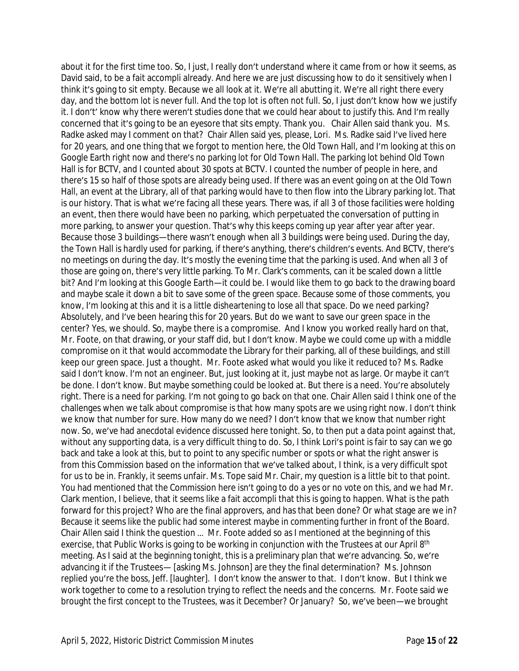about it for the first time too. So, I just, I really don't understand where it came from or how it seems, as David said, to be a fait accompli already. And here we are just discussing how to do it sensitively when I think it's going to sit empty. Because we all look at it. We're all abutting it. We're all right there every day, and the bottom lot is never full. And the top lot is often not full. So, I just don't know how we justify it. I don't' know why there weren't studies done that we could hear about to justify this. And I'm really concerned that it's going to be an eyesore that sits empty. Thank you. Chair Allen said thank you. Ms. Radke asked may I comment on that? Chair Allen said yes, please, Lori. Ms. Radke said I've lived here for 20 years, and one thing that we forgot to mention here, the Old Town Hall, and I'm looking at this on Google Earth right now and there's no parking lot for Old Town Hall. The parking lot behind Old Town Hall is for BCTV, and I counted about 30 spots at BCTV. I counted the number of people in here, and there's 15 so half of those spots are already being used. If there was an event going on at the Old Town Hall, an event at the Library, all of that parking would have to then flow into the Library parking lot. That is our history. That is what we're facing all these years. There was, if all 3 of those facilities were holding an event, then there would have been no parking, which perpetuated the conversation of putting in more parking, to answer your question. That's why this keeps coming up year after year after year. Because those 3 buildings—there wasn't enough when all 3 buildings were being used. During the day, the Town Hall is hardly used for parking, if there's anything, there's children's events. And BCTV, there's no meetings on during the day. It's mostly the evening time that the parking is used. And when all 3 of those are going on, there's very little parking. To Mr. Clark's comments, can it be scaled down a little bit? And I'm looking at this Google Earth—it could be. I would like them to go back to the drawing board and maybe scale it down a bit to save some of the green space. Because some of those comments, you know, I'm looking at this and it is a little disheartening to lose all that space. Do we need parking? Absolutely, and I've been hearing this for 20 years. But do we want to save our green space in the center? Yes, we should. So, maybe there is a compromise. And I know you worked really hard on that, Mr. Foote, on that drawing, or your staff did, but I don't know. Maybe we could come up with a middle compromise on it that would accommodate the Library for their parking, all of these buildings, and still keep our green space. Just a thought. Mr. Foote asked what would you like it reduced to? Ms. Radke said I don't know. I'm not an engineer. But, just looking at it, just maybe not as large. Or maybe it can't be done. I don't know. But maybe something could be looked at. But there is a need. You're absolutely right. There is a need for parking. I'm not going to go back on that one. Chair Allen said I think one of the challenges when we talk about compromise is that how many spots are we using right now. I don't think we know that number for sure. How many do we need? I don't know that we know that number right now. So, we've had anecdotal evidence discussed here tonight. So, to then put a data point against that, without any supporting data, is a very difficult thing to do. So, I think Lori's point is fair to say can we go back and take a look at this, but to point to any specific number or spots or what the right answer is from this Commission based on the information that we've talked about, I think, is a very difficult spot for us to be in. Frankly, it seems unfair. Ms. Tope said Mr. Chair, my question is a little bit to that point. You had mentioned that the Commission here isn't going to do a yes or no vote on this, and we had Mr. Clark mention, I believe, that it seems like a fait accompli that this is going to happen. What is the path forward for this project? Who are the final approvers, and has that been done? Or what stage are we in? Because it seems like the public had some interest maybe in commenting further in front of the Board. Chair Allen said I think the question … Mr. Foote added so as I mentioned at the beginning of this exercise, that Public Works is going to be working in conjunction with the Trustees at our April 8th meeting. As I said at the beginning tonight, this is a preliminary plan that we're advancing. So, we're advancing it if the Trustees— [asking Ms. Johnson] are they the final determination? Ms. Johnson replied you're the boss, Jeff. [laughter]. I don't know the answer to that. I don't know. But I think we work together to come to a resolution trying to reflect the needs and the concerns. Mr. Foote said we brought the first concept to the Trustees, was it December? Or January? So, we've been—we brought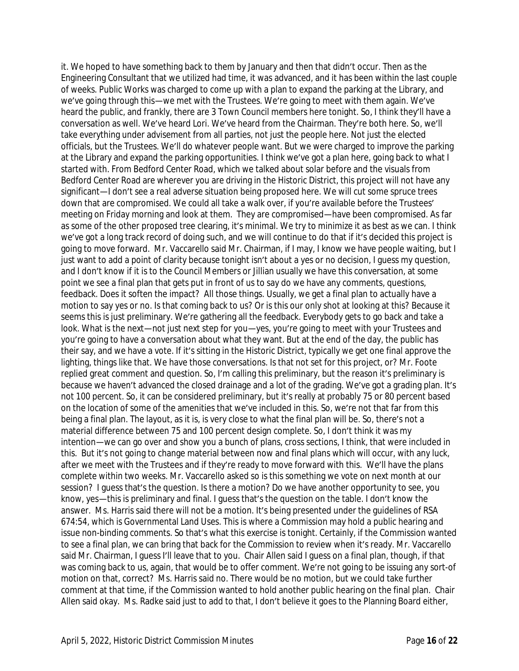it. We hoped to have something back to them by January and then that didn't occur. Then as the Engineering Consultant that we utilized had time, it was advanced, and it has been within the last couple of weeks. Public Works was charged to come up with a plan to expand the parking at the Library, and we've going through this—we met with the Trustees. We're going to meet with them again. We've heard the public, and frankly, there are 3 Town Council members here tonight. So, I think they'll have a conversation as well. We've heard Lori. We've heard from the Chairman. They're both here. So, we'll take everything under advisement from all parties, not just the people here. Not just the elected officials, but the Trustees. We'll do whatever people want. But we were charged to improve the parking at the Library and expand the parking opportunities. I think we've got a plan here, going back to what I started with. From Bedford Center Road, which we talked about solar before and the visuals from Bedford Center Road are wherever you are driving in the Historic District, this project will not have any significant—I don't see a real adverse situation being proposed here. We will cut some spruce trees down that are compromised. We could all take a walk over, if you're available before the Trustees' meeting on Friday morning and look at them. They are compromised—have been compromised. As far as some of the other proposed tree clearing, it's minimal. We try to minimize it as best as we can. I think we've got a long track record of doing such, and we will continue to do that if it's decided this project is going to move forward. Mr. Vaccarello said Mr. Chairman, if I may, I know we have people waiting, but I just want to add a point of clarity because tonight isn't about a yes or no decision, I quess my question, and I don't know if it is to the Council Members or Jillian usually we have this conversation, at some point we see a final plan that gets put in front of us to say do we have any comments, questions, feedback. Does it soften the impact? All those things. Usually, we get a final plan to actually have a motion to say yes or no. Is that coming back to us? Or is this our only shot at looking at this? Because it seems this is just preliminary. We're gathering all the feedback. Everybody gets to go back and take a look. What is the next—not just next step for you—yes, you're going to meet with your Trustees and you're going to have a conversation about what they want. But at the end of the day, the public has their say, and we have a vote. If it's sitting in the Historic District, typically we get one final approve the lighting, things like that. We have those conversations. Is that not set for this project, or? Mr. Foote replied great comment and question. So, I'm calling this preliminary, but the reason it's preliminary is because we haven't advanced the closed drainage and a lot of the grading. We've got a grading plan. It's not 100 percent. So, it can be considered preliminary, but it's really at probably 75 or 80 percent based on the location of some of the amenities that we've included in this. So, we're not that far from this being a final plan. The layout, as it is, is very close to what the final plan will be. So, there's not a material difference between 75 and 100 percent design complete. So, I don't think it was my intention—we can go over and show you a bunch of plans, cross sections, I think, that were included in this. But it's not going to change material between now and final plans which will occur, with any luck, after we meet with the Trustees and if they're ready to move forward with this. We'll have the plans complete within two weeks. Mr. Vaccarello asked so is this something we vote on next month at our session? I quess that's the question. Is there a motion? Do we have another opportunity to see, you know, yes—this is preliminary and final. I guess that's the question on the table. I don't know the answer. Ms. Harris said there will not be a motion. It's being presented under the guidelines of RSA 674:54, which is Governmental Land Uses. This is where a Commission may hold a public hearing and issue non-binding comments. So that's what this exercise is tonight. Certainly, if the Commission wanted to see a final plan, we can bring that back for the Commission to review when it's ready. Mr. Vaccarello said Mr. Chairman, I guess I'll leave that to you. Chair Allen said I guess on a final plan, though, if that was coming back to us, again, that would be to offer comment. We're not going to be issuing any sort-of motion on that, correct? Ms. Harris said no. There would be no motion, but we could take further comment at that time, if the Commission wanted to hold another public hearing on the final plan. Chair Allen said okay. Ms. Radke said just to add to that, I don't believe it goes to the Planning Board either,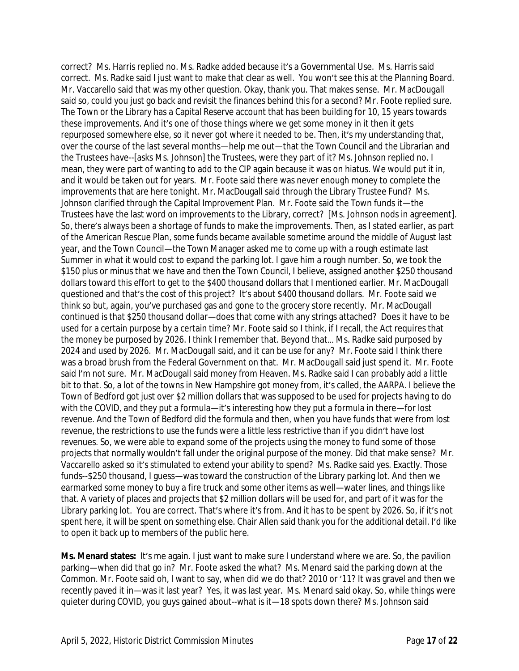correct? Ms. Harris replied no. Ms. Radke added because it's a Governmental Use. Ms. Harris said correct. Ms. Radke said I just want to make that clear as well. You won't see this at the Planning Board. Mr. Vaccarello said that was my other question. Okay, thank you. That makes sense. Mr. MacDougall said so, could you just go back and revisit the finances behind this for a second? Mr. Foote replied sure. The Town or the Library has a Capital Reserve account that has been building for 10, 15 years towards these improvements. And it's one of those things where we get some money in it then it gets repurposed somewhere else, so it never got where it needed to be. Then, it's my understanding that, over the course of the last several months—help me out—that the Town Council and the Librarian and the Trustees have--[asks Ms. Johnson] the Trustees, were they part of it? Ms. Johnson replied no. I mean, they were part of wanting to add to the CIP again because it was on hiatus. We would put it in, and it would be taken out for years. Mr. Foote said there was never enough money to complete the improvements that are here tonight. Mr. MacDougall said through the Library Trustee Fund? Ms. Johnson clarified through the Capital Improvement Plan. Mr. Foote said the Town funds it—the Trustees have the last word on improvements to the Library, correct? [Ms. Johnson nods in agreement]. So, there's always been a shortage of funds to make the improvements. Then, as I stated earlier, as part of the American Rescue Plan, some funds became available sometime around the middle of August last year, and the Town Council—the Town Manager asked me to come up with a rough estimate last Summer in what it would cost to expand the parking lot. I gave him a rough number. So, we took the \$150 plus or minus that we have and then the Town Council, I believe, assigned another \$250 thousand dollars toward this effort to get to the \$400 thousand dollars that I mentioned earlier. Mr. MacDougall questioned and that's the cost of this project? It's about \$400 thousand dollars. Mr. Foote said we think so but, again, you've purchased gas and gone to the grocery store recently. Mr. MacDougall continued is that \$250 thousand dollar—does that come with any strings attached? Does it have to be used for a certain purpose by a certain time? Mr. Foote said so I think, if I recall, the Act requires that the money be purposed by 2026. I think I remember that. Beyond that… Ms. Radke said purposed by 2024 and used by 2026. Mr. MacDougall said, and it can be use for any? Mr. Foote said I think there was a broad brush from the Federal Government on that. Mr. MacDougall said just spend it. Mr. Foote said I'm not sure. Mr. MacDougall said money from Heaven. Ms. Radke said I can probably add a little bit to that. So, a lot of the towns in New Hampshire got money from, it's called, the AARPA. I believe the Town of Bedford got just over \$2 million dollars that was supposed to be used for projects having to do with the COVID, and they put a formula—it's interesting how they put a formula in there—for lost revenue. And the Town of Bedford did the formula and then, when you have funds that were from lost revenue, the restrictions to use the funds were a little less restrictive than if you didn't have lost revenues. So, we were able to expand some of the projects using the money to fund some of those projects that normally wouldn't fall under the original purpose of the money. Did that make sense? Mr. Vaccarello asked so it's stimulated to extend your ability to spend? Ms. Radke said yes. Exactly. Those funds--\$250 thousand, I guess—was toward the construction of the Library parking lot. And then we earmarked some money to buy a fire truck and some other items as well—water lines, and things like that. A variety of places and projects that \$2 million dollars will be used for, and part of it was for the Library parking lot. You are correct. That's where it's from. And it has to be spent by 2026. So, if it's not spent here, it will be spent on something else. Chair Allen said thank you for the additional detail. I'd like to open it back up to members of the public here.

**Ms. Menard states:** It's me again. I just want to make sure I understand where we are. So, the pavilion parking—when did that go in? Mr. Foote asked the what? Ms. Menard said the parking down at the Common. Mr. Foote said oh, I want to say, when did we do that? 2010 or '11? It was gravel and then we recently paved it in—was it last year? Yes, it was last year. Ms. Menard said okay. So, while things were quieter during COVID, you guys gained about--what is it—18 spots down there? Ms. Johnson said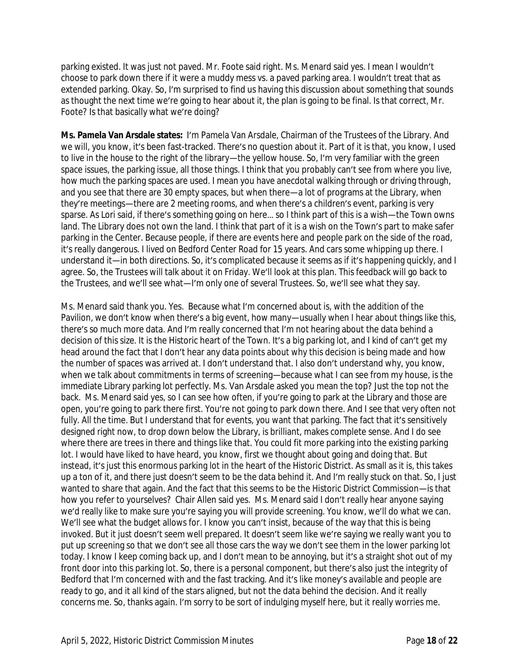parking existed. It was just not paved. Mr. Foote said right. Ms. Menard said yes. I mean I wouldn't choose to park down there if it were a muddy mess vs. a paved parking area. I wouldn't treat that as extended parking. Okay. So, I'm surprised to find us having this discussion about something that sounds as thought the next time we're going to hear about it, the plan is going to be final. Is that correct, Mr. Foote? Is that basically what we're doing?

**Ms. Pamela Van Arsdale states:** I'm Pamela Van Arsdale, Chairman of the Trustees of the Library. And we will, you know, it's been fast-tracked. There's no question about it. Part of it is that, you know, I used to live in the house to the right of the library—the yellow house. So, I'm very familiar with the green space issues, the parking issue, all those things. I think that you probably can't see from where you live, how much the parking spaces are used. I mean you have anecdotal walking through or driving through, and you see that there are 30 empty spaces, but when there—a lot of programs at the Library, when they're meetings—there are 2 meeting rooms, and when there's a children's event, parking is very sparse. As Lori said, if there's something going on here… so I think part of this is a wish—the Town owns land. The Library does not own the land. I think that part of it is a wish on the Town's part to make safer parking in the Center. Because people, if there are events here and people park on the side of the road, it's really dangerous. I lived on Bedford Center Road for 15 years. And cars some whipping up there. I understand it—in both directions. So, it's complicated because it seems as if it's happening quickly, and I agree. So, the Trustees will talk about it on Friday. We'll look at this plan. This feedback will go back to the Trustees, and we'll see what—I'm only one of several Trustees. So, we'll see what they say.

Ms. Menard said thank you. Yes. Because what I'm concerned about is, with the addition of the Pavilion, we don't know when there's a big event, how many—usually when I hear about things like this, there's so much more data. And I'm really concerned that I'm not hearing about the data behind a decision of this size. It is the Historic heart of the Town. It's a big parking lot, and I kind of can't get my head around the fact that I don't hear any data points about why this decision is being made and how the number of spaces was arrived at. I don't understand that. I also don't understand why, you know, when we talk about commitments in terms of screening—because what I can see from my house, is the immediate Library parking lot perfectly. Ms. Van Arsdale asked you mean the top? Just the top not the back. Ms. Menard said yes, so I can see how often, if you're going to park at the Library and those are open, you're going to park there first. You're not going to park down there. And I see that very often not fully. All the time. But I understand that for events, you want that parking. The fact that it's sensitively designed right now, to drop down below the Library, is brilliant, makes complete sense. And I do see where there are trees in there and things like that. You could fit more parking into the existing parking lot. I would have liked to have heard, you know, first we thought about going and doing that. But instead, it's just this enormous parking lot in the heart of the Historic District. As small as it is, this takes up a ton of it, and there just doesn't seem to be the data behind it. And I'm really stuck on that. So, I just wanted to share that again. And the fact that this seems to be the Historic District Commission—is that how you refer to yourselves? Chair Allen said yes. Ms. Menard said I don't really hear anyone saying we'd really like to make sure you're saying you will provide screening. You know, we'll do what we can. We'll see what the budget allows for. I know you can't insist, because of the way that this is being invoked. But it just doesn't seem well prepared. It doesn't seem like we're saying we really want you to put up screening so that we don't see all those cars the way we don't see them in the lower parking lot today. I know I keep coming back up, and I don't mean to be annoying, but it's a straight shot out of my front door into this parking lot. So, there is a personal component, but there's also just the integrity of Bedford that I'm concerned with and the fast tracking. And it's like money's available and people are ready to go, and it all kind of the stars aligned, but not the data behind the decision. And it really concerns me. So, thanks again. I'm sorry to be sort of indulging myself here, but it really worries me.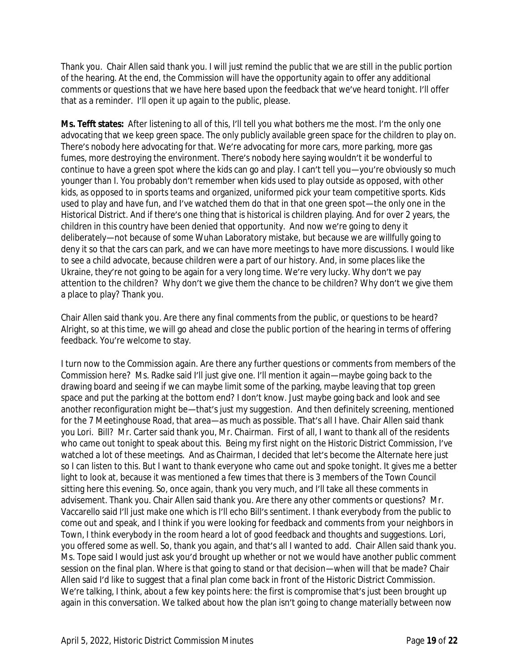Thank you. Chair Allen said thank you. I will just remind the public that we are still in the public portion of the hearing. At the end, the Commission will have the opportunity again to offer any additional comments or questions that we have here based upon the feedback that we've heard tonight. I'll offer that as a reminder. I'll open it up again to the public, please.

**Ms. Tefft states:** After listening to all of this, I'll tell you what bothers me the most. I'm the only one advocating that we keep green space. The only publicly available green space for the children to play on. There's nobody here advocating for that. We're advocating for more cars, more parking, more gas fumes, more destroying the environment. There's nobody here saying wouldn't it be wonderful to continue to have a green spot where the kids can go and play. I can't tell you—you're obviously so much younger than I. You probably don't remember when kids used to play outside as opposed, with other kids, as opposed to in sports teams and organized, uniformed pick your team competitive sports. Kids used to play and have fun, and I've watched them do that in that one green spot—the only one in the Historical District. And if there's one thing that is historical is children playing. And for over 2 years, the children in this country have been denied that opportunity. And now we're going to deny it deliberately—not because of some Wuhan Laboratory mistake, but because we are willfully going to deny it so that the cars can park, and we can have more meetings to have more discussions. I would like to see a child advocate, because children were a part of our history. And, in some places like the Ukraine, they're not going to be again for a very long time. We're very lucky. Why don't we pay attention to the children? Why don't we give them the chance to be children? Why don't we give them a place to play? Thank you.

Chair Allen said thank you. Are there any final comments from the public, or questions to be heard? Alright, so at this time, we will go ahead and close the public portion of the hearing in terms of offering feedback. You're welcome to stay.

I turn now to the Commission again. Are there any further questions or comments from members of the Commission here? Ms. Radke said I'll just give one. I'll mention it again—maybe going back to the drawing board and seeing if we can maybe limit some of the parking, maybe leaving that top green space and put the parking at the bottom end? I don't know. Just maybe going back and look and see another reconfiguration might be—that's just my suggestion. And then definitely screening, mentioned for the 7 Meetinghouse Road, that area—as much as possible. That's all I have. Chair Allen said thank you Lori. Bill? Mr. Carter said thank you, Mr. Chairman. First of all, I want to thank all of the residents who came out tonight to speak about this. Being my first night on the Historic District Commission, I've watched a lot of these meetings. And as Chairman, I decided that let's become the Alternate here just so I can listen to this. But I want to thank everyone who came out and spoke tonight. It gives me a better light to look at, because it was mentioned a few times that there is 3 members of the Town Council sitting here this evening. So, once again, thank you very much, and I'll take all these comments in advisement. Thank you. Chair Allen said thank you. Are there any other comments or questions? Mr. Vaccarello said I'll just make one which is I'll echo Bill's sentiment. I thank everybody from the public to come out and speak, and I think if you were looking for feedback and comments from your neighbors in Town, I think everybody in the room heard a lot of good feedback and thoughts and suggestions. Lori, you offered some as well. So, thank you again, and that's all I wanted to add. Chair Allen said thank you. Ms. Tope said I would just ask you'd brought up whether or not we would have another public comment session on the final plan. Where is that going to stand or that decision—when will that be made? Chair Allen said I'd like to suggest that a final plan come back in front of the Historic District Commission. We're talking, I think, about a few key points here: the first is compromise that's just been brought up again in this conversation. We talked about how the plan isn't going to change materially between now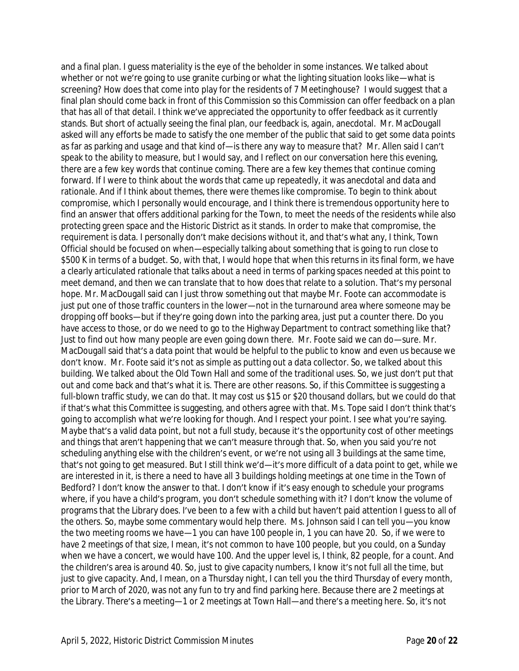and a final plan. I guess materiality is the eye of the beholder in some instances. We talked about whether or not we're going to use granite curbing or what the lighting situation looks like—what is screening? How does that come into play for the residents of 7 Meetinghouse? I would suggest that a final plan should come back in front of this Commission so this Commission can offer feedback on a plan that has all of that detail. I think we've appreciated the opportunity to offer feedback as it currently stands. But short of actually seeing the final plan, our feedback is, again, anecdotal. Mr. MacDougall asked will any efforts be made to satisfy the one member of the public that said to get some data points as far as parking and usage and that kind of—is there any way to measure that? Mr. Allen said I can't speak to the ability to measure, but I would say, and I reflect on our conversation here this evening, there are a few key words that continue coming. There are a few key themes that continue coming forward. If I were to think about the words that came up repeatedly, it was anecdotal and data and rationale. And if I think about themes, there were themes like compromise. To begin to think about compromise, which I personally would encourage, and I think there is tremendous opportunity here to find an answer that offers additional parking for the Town, to meet the needs of the residents while also protecting green space and the Historic District as it stands. In order to make that compromise, the requirement is data. I personally don't make decisions without it, and that's what any, I think, Town Official should be focused on when—especially talking about something that is going to run close to \$500 K in terms of a budget. So, with that, I would hope that when this returns in its final form, we have a clearly articulated rationale that talks about a need in terms of parking spaces needed at this point to meet demand, and then we can translate that to how does that relate to a solution. That's my personal hope. Mr. MacDougall said can I just throw something out that maybe Mr. Foote can accommodate is just put one of those traffic counters in the lower—not in the turnaround area where someone may be dropping off books—but if they're going down into the parking area, just put a counter there. Do you have access to those, or do we need to go to the Highway Department to contract something like that? Just to find out how many people are even going down there. Mr. Foote said we can do—sure. Mr. MacDougall said that's a data point that would be helpful to the public to know and even us because we don't know. Mr. Foote said it's not as simple as putting out a data collector. So, we talked about this building. We talked about the Old Town Hall and some of the traditional uses. So, we just don't put that out and come back and that's what it is. There are other reasons. So, if this Committee is suggesting a full-blown traffic study, we can do that. It may cost us \$15 or \$20 thousand dollars, but we could do that if that's what this Committee is suggesting, and others agree with that. Ms. Tope said I don't think that's going to accomplish what we're looking for though. And I respect your point. I see what you're saying. Maybe that's a valid data point, but not a full study, because it's the opportunity cost of other meetings and things that aren't happening that we can't measure through that. So, when you said you're not scheduling anything else with the children's event, or we're not using all 3 buildings at the same time, that's not going to get measured. But I still think we'd—it's more difficult of a data point to get, while we are interested in it, is there a need to have all 3 buildings holding meetings at one time in the Town of Bedford? I don't know the answer to that. I don't know if it's easy enough to schedule your programs where, if you have a child's program, you don't schedule something with it? I don't know the volume of programs that the Library does. I've been to a few with a child but haven't paid attention I guess to all of the others. So, maybe some commentary would help there. Ms. Johnson said I can tell you—you know the two meeting rooms we have—1 you can have 100 people in, 1 you can have 20. So, if we were to have 2 meetings of that size, I mean, it's not common to have 100 people, but you could, on a Sunday when we have a concert, we would have 100. And the upper level is, I think, 82 people, for a count. And the children's area is around 40. So, just to give capacity numbers, I know it's not full all the time, but just to give capacity. And, I mean, on a Thursday night, I can tell you the third Thursday of every month, prior to March of 2020, was not any fun to try and find parking here. Because there are 2 meetings at the Library. There's a meeting—1 or 2 meetings at Town Hall—and there's a meeting here. So, it's not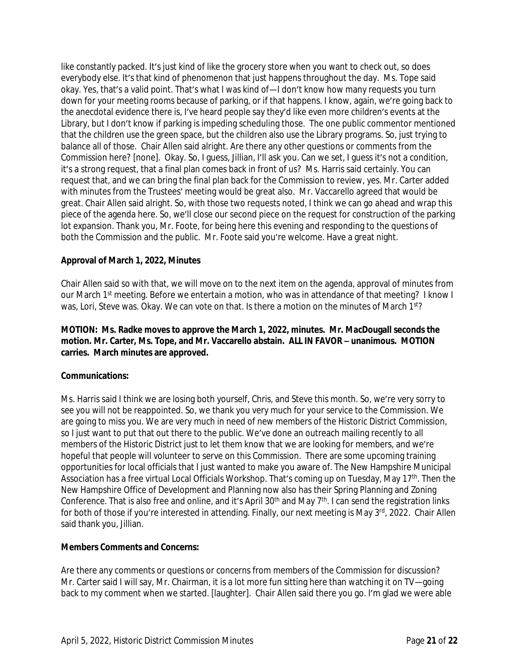like constantly packed. It's just kind of like the grocery store when you want to check out, so does everybody else. It's that kind of phenomenon that just happens throughout the day. Ms. Tope said okay. Yes, that's a valid point. That's what I was kind of—I don't know how many requests you turn down for your meeting rooms because of parking, or if that happens. I know, again, we're going back to the anecdotal evidence there is, I've heard people say they'd like even more children's events at the Library, but I don't know if parking is impeding scheduling those. The one public commentor mentioned that the children use the green space, but the children also use the Library programs. So, just trying to balance all of those. Chair Allen said alright. Are there any other questions or comments from the Commission here? [none]. Okay. So, I guess, Jillian, I'll ask you. Can we set, I guess it's not a condition, it's a strong request, that a final plan comes back in front of us? Ms. Harris said certainly. You can request that, and we can bring the final plan back for the Commission to review, yes. Mr. Carter added with minutes from the Trustees' meeting would be great also. Mr. Vaccarello agreed that would be great. Chair Allen said alright. So, with those two requests noted, I think we can go ahead and wrap this piece of the agenda here. So, we'll close our second piece on the request for construction of the parking lot expansion. Thank you, Mr. Foote, for being here this evening and responding to the questions of both the Commission and the public. Mr. Foote said you're welcome. Have a great night.

#### **Approval of March 1, 2022, Minutes**

Chair Allen said so with that, we will move on to the next item on the agenda, approval of minutes from our March 1<sup>st</sup> meeting. Before we entertain a motion, who was in attendance of that meeting? I know I was, Lori, Steve was. Okay. We can vote on that. Is there a motion on the minutes of March 1st?

**MOTION: Ms. Radke moves to approve the March 1, 2022, minutes. Mr. MacDougall seconds the motion. Mr. Carter, Ms. Tope, and Mr. Vaccarello abstain. ALL IN FAVOR - unanimous. MOTION carries. March minutes are approved.**

#### **Communications:**

Ms. Harris said I think we are losing both yourself, Chris, and Steve this month. So, we're very sorry to see you will not be reappointed. So, we thank you very much for your service to the Commission. We are going to miss you. We are very much in need of new members of the Historic District Commission, so I just want to put that out there to the public. We've done an outreach mailing recently to all members of the Historic District just to let them know that we are looking for members, and we're hopeful that people will volunteer to serve on this Commission. There are some upcoming training opportunities for local officials that I just wanted to make you aware of. The New Hampshire Municipal Association has a free virtual Local Officials Workshop. That's coming up on Tuesday, May 17<sup>th</sup>. Then the New Hampshire Office of Development and Planning now also has their Spring Planning and Zoning Conference. That is also free and online, and it's April 30th and May 7th. I can send the registration links for both of those if you're interested in attending. Finally, our next meeting is May 3rd, 2022. Chair Allen said thank you, Jillian.

#### **Members Comments and Concerns:**

Are there any comments or questions or concerns from members of the Commission for discussion? Mr. Carter said I will say, Mr. Chairman, it is a lot more fun sitting here than watching it on TV—going back to my comment when we started. [laughter]. Chair Allen said there you go. I'm glad we were able